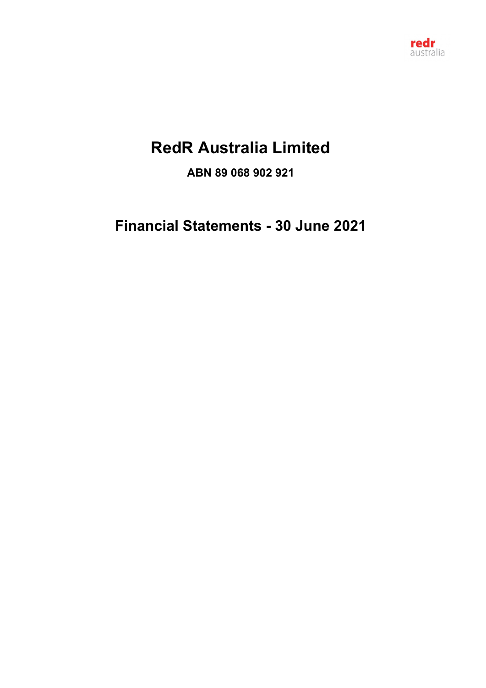

# **RedR Australia Limited**

**ABN 89 068 902 921**

**Financial Statements - 30 June 2021**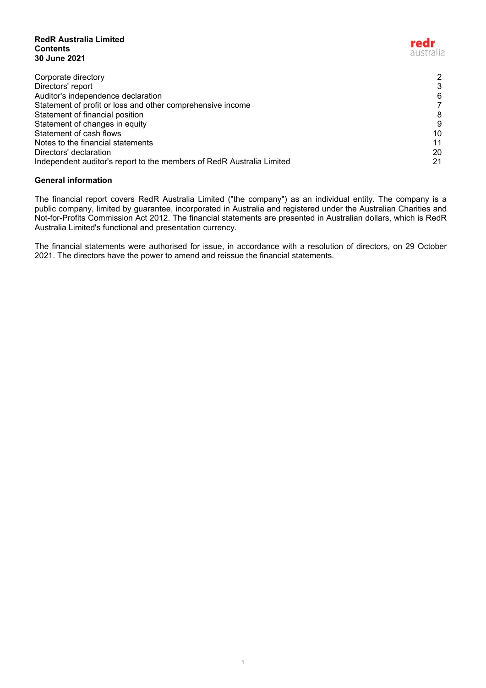#### **RedR Australia Limited Contents 30 June**

| Contents<br>30 June 2021                                              | australia |
|-----------------------------------------------------------------------|-----------|
| Corporate directory                                                   | 2         |
| Directors' report                                                     |           |
| Auditor's independence declaration                                    | 6         |
| Statement of profit or loss and other comprehensive income            |           |
| Statement of financial position                                       | 8         |
| Statement of changes in equity                                        | 9         |
| Statement of cash flows                                               | 10        |
| Notes to the financial statements                                     |           |
| Directors' declaration                                                | 20        |
| Independent auditor's report to the members of RedR Australia Limited | 21        |

redr

# **General information**

The financial report covers RedR Australia Limited ("the company") as an individual entity. The company is a public company, limited by guarantee, incorporated in Australia and registered under the Australian Charities and Not-for-Profits Commission Act 2012. The financial statements are presented in Australian dollars, which is RedR Australia Limited's functional and presentation currency.

The financial statements were authorised for issue, in accordance with a resolution of directors, on 29 October 2021. The directors have the power to amend and reissue the financial statements.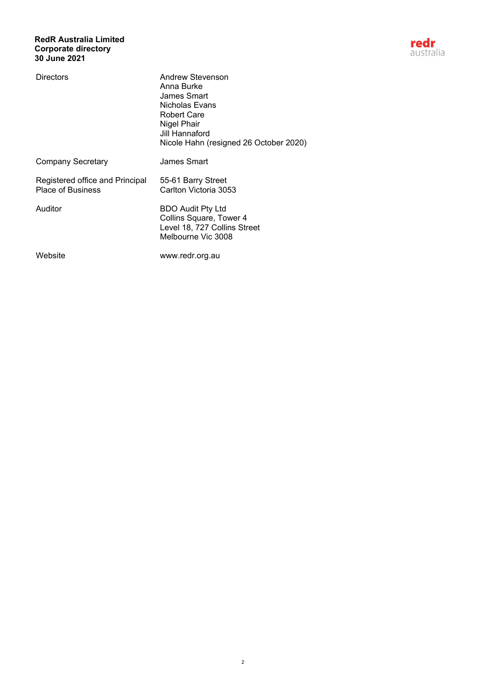# **RedR Australia Limited Corporate directory 30 June 2021**



| Directors                                                   | Andrew Stevenson<br>Anna Burke<br>James Smart<br>Nicholas Evans<br><b>Robert Care</b><br>Nigel Phair<br>Jill Hannaford<br>Nicole Hahn (resigned 26 October 2020) |
|-------------------------------------------------------------|------------------------------------------------------------------------------------------------------------------------------------------------------------------|
| Company Secretary                                           | James Smart                                                                                                                                                      |
| Registered office and Principal<br><b>Place of Business</b> | 55-61 Barry Street<br>Carlton Victoria 3053                                                                                                                      |
| Auditor                                                     | <b>BDO Audit Pty Ltd</b><br>Collins Square, Tower 4<br>Level 18, 727 Collins Street<br>Melbourne Vic 3008                                                        |
| Website                                                     | www.redr.org.au                                                                                                                                                  |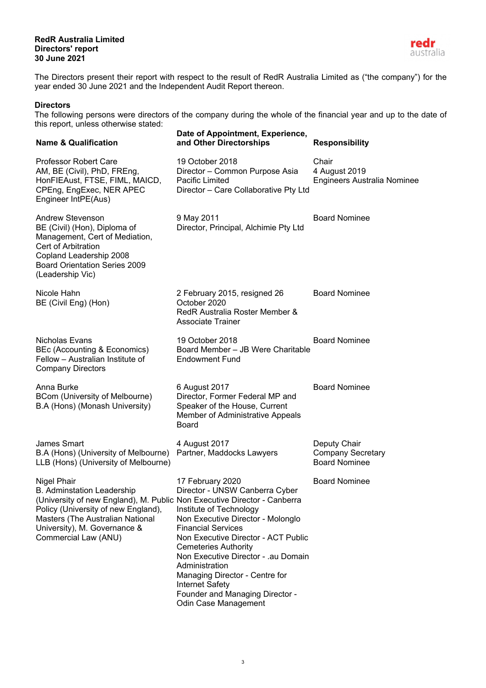## **RedR Australia Limited Directors' report 30 June 2021**



<span id="page-3-0"></span>The Directors present their report with respect to the result of RedR Australia Limited as ("the company") for the year ended 30 June 2021 and the Independent Audit Report thereon.

# **Directors**

The following persons were directors of the company during the whole of the financial year and up to the date of this report, unless otherwise stated:

| <b>Name &amp; Qualification</b>                                                                                                                                                                                                                                        | Date of Appointment, Experience,<br>and Other Directorships                                                                                                                                                                                                                                                                                                                                           | <b>Responsibility</b>                                            |
|------------------------------------------------------------------------------------------------------------------------------------------------------------------------------------------------------------------------------------------------------------------------|-------------------------------------------------------------------------------------------------------------------------------------------------------------------------------------------------------------------------------------------------------------------------------------------------------------------------------------------------------------------------------------------------------|------------------------------------------------------------------|
| <b>Professor Robert Care</b><br>AM, BE (Civil), PhD, FREng,<br>HonFIEAust, FTSE, FIML, MAICD,<br>CPEng, EngExec, NER APEC<br>Engineer IntPE(Aus)                                                                                                                       | 19 October 2018<br>Director - Common Purpose Asia<br>Pacific Limited<br>Director - Care Collaborative Pty Ltd                                                                                                                                                                                                                                                                                         | Chair<br>4 August 2019<br><b>Engineers Australia Nominee</b>     |
| <b>Andrew Stevenson</b><br>BE (Civil) (Hon), Diploma of<br>Management, Cert of Mediation,<br>Cert of Arbitration<br>Copland Leadership 2008<br><b>Board Orientation Series 2009</b><br>(Leadership Vic)                                                                | 9 May 2011<br>Director, Principal, Alchimie Pty Ltd                                                                                                                                                                                                                                                                                                                                                   | <b>Board Nominee</b>                                             |
| Nicole Hahn<br>BE (Civil Eng) (Hon)                                                                                                                                                                                                                                    | 2 February 2015, resigned 26<br>October 2020<br>RedR Australia Roster Member &<br><b>Associate Trainer</b>                                                                                                                                                                                                                                                                                            | <b>Board Nominee</b>                                             |
| Nicholas Evans<br>BEc (Accounting & Economics)<br>Fellow - Australian Institute of<br><b>Company Directors</b>                                                                                                                                                         | 19 October 2018<br>Board Member - JB Were Charitable<br><b>Endowment Fund</b>                                                                                                                                                                                                                                                                                                                         | <b>Board Nominee</b>                                             |
| Anna Burke<br>BCom (University of Melbourne)<br>B.A (Hons) (Monash University)                                                                                                                                                                                         | 6 August 2017<br>Director, Former Federal MP and<br>Speaker of the House, Current<br>Member of Administrative Appeals<br><b>Board</b>                                                                                                                                                                                                                                                                 | <b>Board Nominee</b>                                             |
| <b>James Smart</b><br>B.A (Hons) (University of Melbourne)<br>LLB (Hons) (University of Melbourne)                                                                                                                                                                     | 4 August 2017<br>Partner, Maddocks Lawyers                                                                                                                                                                                                                                                                                                                                                            | Deputy Chair<br><b>Company Secretary</b><br><b>Board Nominee</b> |
| <b>Nigel Phair</b><br><b>B.</b> Adminstation Leadership<br>(University of new England), M. Public Non Executive Director - Canberra<br>Policy (University of new England),<br>Masters (The Australian National<br>University), M. Governance &<br>Commercial Law (ANU) | 17 February 2020<br>Director - UNSW Canberra Cyber<br>Institute of Technology<br>Non Executive Director - Molonglo<br><b>Financial Services</b><br>Non Executive Director - ACT Public<br><b>Cemeteries Authority</b><br>Non Executive Director - .au Domain<br>Administration<br>Managing Director - Centre for<br><b>Internet Safety</b><br>Founder and Managing Director -<br>Odin Case Management | <b>Board Nominee</b>                                             |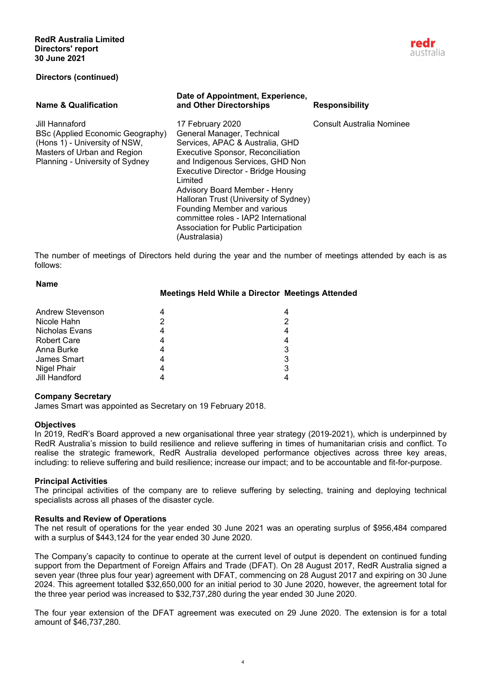

### **Directors (continued)**

#### **Name & Qualification Date of Appointment, Experience, and Other Directorships Responsibility** Jill Hannaford 17 February 2020 Consult Australia Nominee BSc (Applied Economic Geography) (Hons 1) - University of NSW, Masters of Urban and Region Planning - University of Sydney General Manager, Technical Services, APAC & Australia, GHD Executive Sponsor, Reconciliation and Indigenous Services, GHD Non Executive Director - Bridge Housing Limited Advisory Board Member - Henry Halloran Trust (University of Sydney) Founding Member and various committee roles - IAP2 International Association for Public Participation (Australasia)

The number of meetings of Directors held during the year and the number of meetings attended by each is as follows:

| 4                                                       |
|---------------------------------------------------------|
|                                                         |
|                                                         |
| 4                                                       |
| 3                                                       |
| 3                                                       |
| 3                                                       |
|                                                         |
| <b>Meetings Held While a Director Meetings Attended</b> |

## **Company Secretary**

James Smart was appointed as Secretary on 19 February 2018.

## **Objectives**

In 2019, RedR's Board approved a new organisational three year strategy (2019-2021), which is underpinned by RedR Australia's mission to build resilience and relieve suffering in times of humanitarian crisis and conflict. To realise the strategic framework, RedR Australia developed performance objectives across three key areas, including: to relieve suffering and build resilience; increase our impact; and to be accountable and fit-for-purpose.

## **Principal Activities**

The principal activities of the company are to relieve suffering by selecting, training and deploying technical specialists across all phases of the disaster cycle.

#### **Results and Review of Operations**

The net result of operations for the year ended 30 June 2021 was an operating surplus of \$956,484 compared with a surplus of \$443,124 for the year ended 30 June 2020.

The Company's capacity to continue to operate at the current level of output is dependent on continued funding support from the Department of Foreign Affairs and Trade (DFAT). On 28 August 2017, RedR Australia signed a seven year (three plus four year) agreement with DFAT, commencing on 28 August 2017 and expiring on 30 June 2024. This agreement totalled \$32,650,000 for an initial period to 30 June 2020, however, the agreement total for the three year period was increased to \$32,737,280 during the year ended 30 June 2020.

The four year extension of the DFAT agreement was executed on 29 June 2020. The extension is for a total amount of \$46,737,280.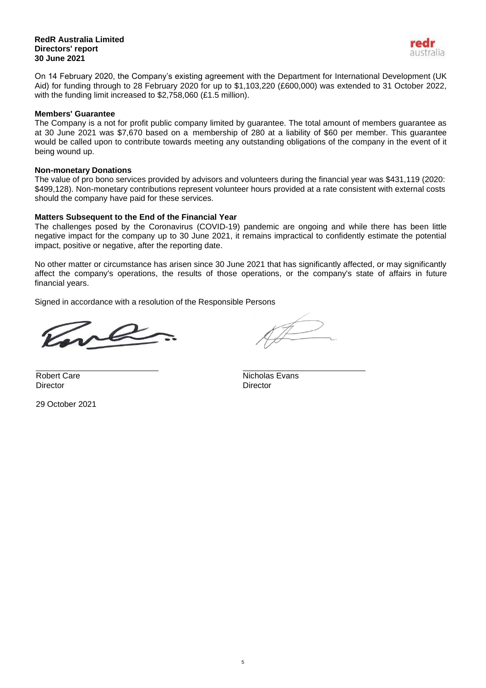#### **RedR Australia Limited Directors' report 30 June 2021**



On 14 February 2020, the Company's existing agreement with the Department for International Development (UK Aid) for funding through to 28 February 2020 for up to \$1,103,220 (£600,000) was extended to 31 October 2022, with the funding limit increased to \$2,758,060 (£1.5 million).

# **Members' Guarantee**

The Company is a not for profit public company limited by guarantee. The total amount of members guarantee as at 30 June 2021 was \$7,670 based on a membership of 280 at a liability of \$60 per member. This guarantee would be called upon to contribute towards meeting any outstanding obligations of the company in the event of it being wound up.

# **Non-monetary Donations**

The value of pro bono services provided by advisors and volunteers during the financial year was \$431,119 (2020: \$499,128). Non-monetary contributions represent volunteer hours provided at a rate consistent with external costs should the company have paid for these services.

# **Matters Subsequent to the End of the Financial Year**

The challenges posed by the Coronavirus (COVID-19) pandemic are ongoing and while there has been little negative impact for the company up to 30 June 2021, it remains impractical to confidently estimate the potential impact, positive or negative, after the reporting date.

No other matter or circumstance has arisen since 30 June 2021 that has significantly affected, or may significantly affect the company's operations, the results of those operations, or the company's state of affairs in future financial years.

Signed in accordance with a resolution of the Responsible Persons

Director Director

29 October 2021

Robert Care Nicholas Evans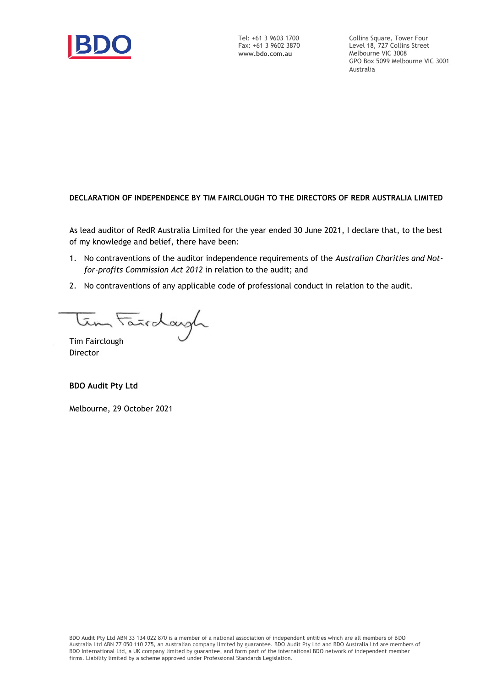

Collins Square, Tower Four Level 18, 727 Collins Street Melbourne VIC 3008 GPO Box 5099 Melbourne VIC 3001 Australia

# **DECLARATION OF INDEPENDENCE BY TIM FAIRCLOUGH TO THE DIRECTORS OF REDR AUSTRALIA LIMITED**

As lead auditor of RedR Australia Limited for the year ended 30 June 2021, I declare that, to the best of my knowledge and belief, there have been:

- 1. No contraventions of the auditor independence requirements of the *Australian Charities and Notfor-profits Commission Act 2012* in relation to the audit; and
- 2. No contraventions of any applicable code of professional conduct in relation to the audit.

Tim Fairdayh

Director

**BDO Audit Pty Ltd**

Melbourne, 29 October 2021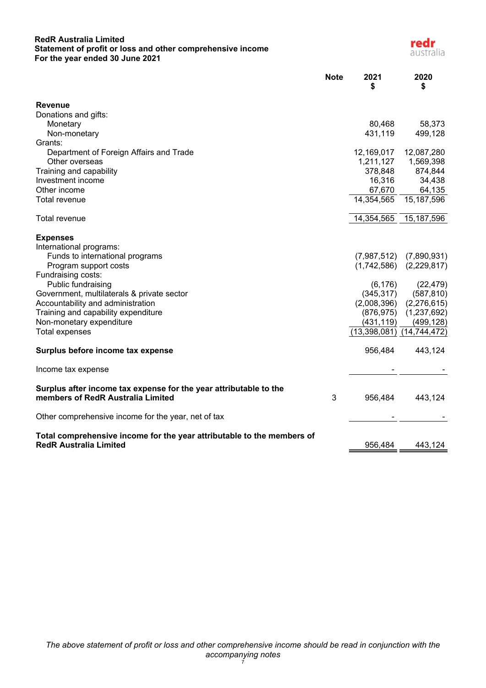# **RedR Australia Limited Statement of profit or loss and other comprehensive income For the year ended 30 June 2021**



<span id="page-7-0"></span>

| <b>Note</b>                                                                                                 | 2021<br>\$                    | 2020<br>S   |
|-------------------------------------------------------------------------------------------------------------|-------------------------------|-------------|
| <b>Revenue</b>                                                                                              |                               |             |
| Donations and gifts:                                                                                        |                               |             |
| Monetary                                                                                                    | 80,468                        | 58,373      |
| Non-monetary                                                                                                | 431,119                       | 499,128     |
| Grants:                                                                                                     |                               |             |
| Department of Foreign Affairs and Trade                                                                     | 12,169,017                    | 12,087,280  |
| Other overseas                                                                                              | 1,211,127                     | 1,569,398   |
| Training and capability                                                                                     | 378,848                       | 874,844     |
| Investment income                                                                                           | 16,316                        | 34,438      |
| Other income                                                                                                | 67,670                        | 64,135      |
| Total revenue                                                                                               | 14,354,565                    | 15,187,596  |
| Total revenue                                                                                               | 14,354,565                    | 15,187,596  |
| <b>Expenses</b>                                                                                             |                               |             |
| International programs:                                                                                     |                               |             |
| Funds to international programs                                                                             | (7,987,512)                   | (7,890,931) |
| Program support costs                                                                                       | (1,742,586)                   | (2,229,817) |
| Fundraising costs:                                                                                          |                               |             |
| Public fundraising                                                                                          | (6, 176)                      | (22, 479)   |
| Government, multilaterals & private sector                                                                  | (345, 317)                    | (587, 810)  |
| Accountability and administration                                                                           | (2,008,396)                   | (2,276,615) |
| Training and capability expenditure                                                                         | (876, 975)                    | (1,237,692) |
| Non-monetary expenditure                                                                                    | (431, 119)                    | (499, 128)  |
| <b>Total expenses</b>                                                                                       | $(13,398,081)$ $(14,744,472)$ |             |
| Surplus before income tax expense                                                                           | 956,484                       | 443,124     |
| Income tax expense                                                                                          |                               |             |
| Surplus after income tax expense for the year attributable to the<br>members of RedR Australia Limited<br>3 | 956,484                       | 443,124     |
| Other comprehensive income for the year, net of tax                                                         |                               |             |
| Total comprehensive income for the year attributable to the members of<br><b>RedR Australia Limited</b>     | 956,484                       | 443,124     |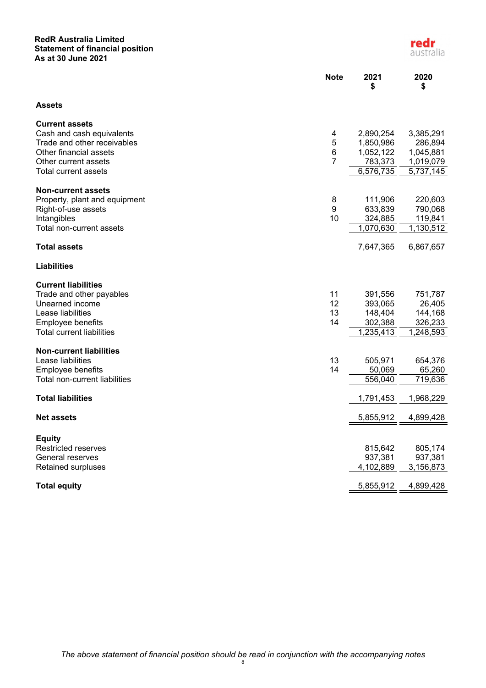## **RedR Australia Limited Statement of financial position As at 30 June 2021**

<span id="page-8-0"></span>

|                                                       | <b>Note</b>    | 2021<br>\$             | 2020<br>\$           |
|-------------------------------------------------------|----------------|------------------------|----------------------|
| <b>Assets</b>                                         |                |                        |                      |
| <b>Current assets</b>                                 |                |                        |                      |
| Cash and cash equivalents                             | 4              | 2,890,254              | 3,385,291            |
| Trade and other receivables<br>Other financial assets | 5<br>$\,6$     | 1,850,986<br>1,052,122 | 286,894<br>1,045,881 |
| Other current assets                                  | $\overline{7}$ | 783,373                | 1,019,079            |
| Total current assets                                  |                | 6,576,735              | 5,737,145            |
| <b>Non-current assets</b>                             |                |                        |                      |
| Property, plant and equipment                         | 8              | 111,906                | 220,603              |
| Right-of-use assets                                   | 9              | 633,839                | 790,068              |
| Intangibles                                           | 10             | 324,885                | 119,841              |
| Total non-current assets                              |                | 1,070,630              | 1,130,512            |
| <b>Total assets</b>                                   |                | 7,647,365              | 6,867,657            |
| <b>Liabilities</b>                                    |                |                        |                      |
| <b>Current liabilities</b>                            |                |                        |                      |
| Trade and other payables                              | 11             | 391,556                | 751,787              |
| Unearned income                                       | 12             | 393,065                | 26,405               |
| Lease liabilities                                     | 13             | 148,404                | 144,168              |
| Employee benefits                                     | 14             | 302,388                | 326,233              |
| <b>Total current liabilities</b>                      |                | 1,235,413              | 1,248,593            |
| <b>Non-current liabilities</b>                        |                |                        |                      |
| Lease liabilities                                     | 13             | 505,971                | 654,376              |
| Employee benefits                                     | 14             | 50,069                 | 65,260               |
| Total non-current liabilities                         |                | 556,040                | 719,636              |
| <b>Total liabilities</b>                              |                | 1,791,453              | 1,968,229            |
| <b>Net assets</b>                                     |                | 5,855,912              | 4,899,428            |
|                                                       |                |                        |                      |
| Equity                                                |                |                        |                      |
| Restricted reserves                                   |                | 815,642                | 805,174              |
| General reserves                                      |                | 937,381                | 937,381              |
| Retained surpluses                                    |                | 4,102,889              | 3,156,873            |
| <b>Total equity</b>                                   |                | 5,855,912              | 4,899,428            |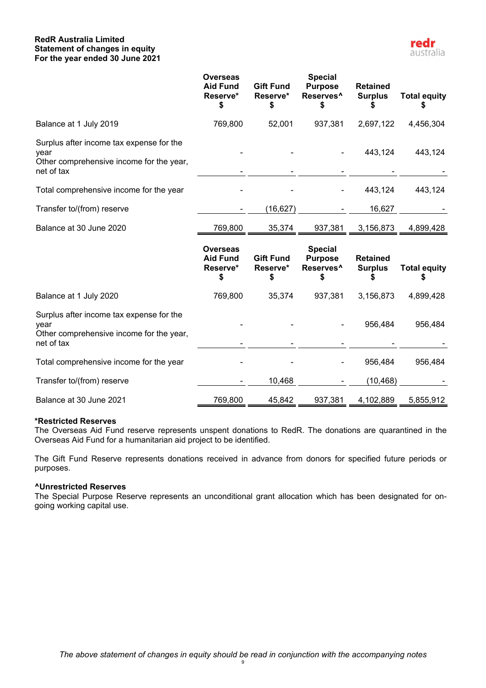## **RedR Australia Limited Statement of changes in equity For the year ended 30 June 2021**

<span id="page-9-0"></span>

|                                                                                                            | <b>Overseas</b><br><b>Aid Fund</b><br>Reserve*       | <b>Gift Fund</b><br>Reserve*<br>S  | <b>Special</b><br><b>Purpose</b><br>Reserves <sup>^</sup>       | <b>Retained</b><br><b>Surplus</b>       | <b>Total equity</b> |
|------------------------------------------------------------------------------------------------------------|------------------------------------------------------|------------------------------------|-----------------------------------------------------------------|-----------------------------------------|---------------------|
| Balance at 1 July 2019                                                                                     | 769,800                                              | 52,001                             | 937,381                                                         | 2,697,122                               | 4,456,304           |
| Surplus after income tax expense for the<br>year<br>Other comprehensive income for the year,<br>net of tax |                                                      |                                    |                                                                 | 443,124                                 | 443,124             |
| Total comprehensive income for the year                                                                    |                                                      |                                    |                                                                 | 443,124                                 | 443,124             |
| Transfer to/(from) reserve                                                                                 |                                                      | (16, 627)                          |                                                                 | 16,627                                  |                     |
| Balance at 30 June 2020                                                                                    | 769,800                                              | 35,374                             | 937,381                                                         | 3,156,873                               | 4,899,428           |
|                                                                                                            |                                                      |                                    |                                                                 |                                         |                     |
|                                                                                                            | <b>Overseas</b><br><b>Aid Fund</b><br>Reserve*<br>\$ | <b>Gift Fund</b><br>Reserve*<br>\$ | <b>Special</b><br><b>Purpose</b><br>Reserves <sup>^</sup><br>\$ | <b>Retained</b><br><b>Surplus</b><br>\$ | <b>Total equity</b> |
| Balance at 1 July 2020                                                                                     | 769,800                                              | 35,374                             | 937,381                                                         | 3,156,873                               | 4,899,428           |
| Surplus after income tax expense for the<br>year<br>Other comprehensive income for the year,<br>net of tax |                                                      |                                    |                                                                 | 956,484                                 | 956,484             |
| Total comprehensive income for the year                                                                    |                                                      |                                    |                                                                 | 956,484                                 | 956,484             |
| Transfer to/(from) reserve                                                                                 |                                                      | 10,468                             |                                                                 | (10, 468)                               |                     |

## **\*Restricted Reserves**

The Overseas Aid Fund reserve represents unspent donations to RedR. The donations are quarantined in the Overseas Aid Fund for a humanitarian aid project to be identified.

The Gift Fund Reserve represents donations received in advance from donors for specified future periods or purposes.

# **^Unrestricted Reserves**

The Special Purpose Reserve represents an unconditional grant allocation which has been designated for ongoing working capital use.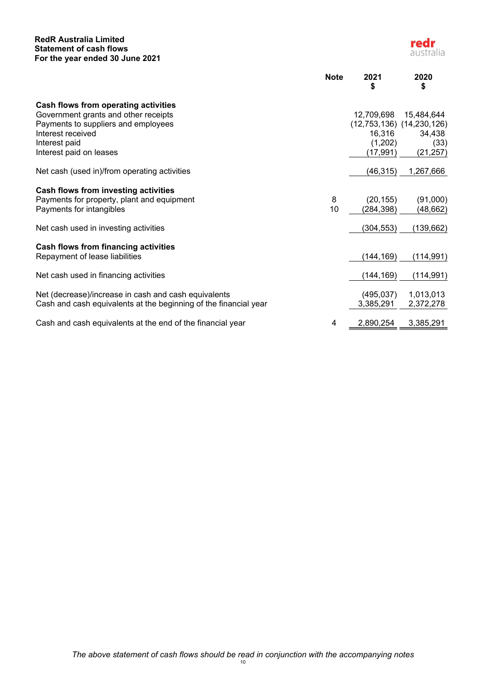## **RedR Australia Limited Statement of cash flows For the year ended 30 June 2021**

<span id="page-10-0"></span>

|                                                                  | <b>Note</b> | 2021<br>\$           | 2020<br>\$                    |
|------------------------------------------------------------------|-------------|----------------------|-------------------------------|
| Cash flows from operating activities                             |             |                      |                               |
| Government grants and other receipts                             |             | 12,709,698           | 15,484,644                    |
| Payments to suppliers and employees                              |             |                      | $(12,753,136)$ $(14,230,126)$ |
| Interest received                                                |             | 16,316               | 34,438                        |
| Interest paid<br>Interest paid on leases                         |             | (1,202)<br>(17, 991) | (33)<br>(21, 257)             |
|                                                                  |             |                      |                               |
| Net cash (used in)/from operating activities                     |             | (46, 315)            | 1,267,666                     |
| Cash flows from investing activities                             |             |                      |                               |
| Payments for property, plant and equipment                       | 8           | (20, 155)            | (91,000)                      |
| Payments for intangibles                                         | 10          | (284, 398)           | (48,662)                      |
| Net cash used in investing activities                            |             | (304, 553)           | (139, 662)                    |
| Cash flows from financing activities                             |             |                      |                               |
| Repayment of lease liabilities                                   |             | (144, 169)           | (114, 991)                    |
| Net cash used in financing activities                            |             | (144, 169)           | (114, 991)                    |
| Net (decrease)/increase in cash and cash equivalents             |             | (495, 037)           | 1,013,013                     |
| Cash and cash equivalents at the beginning of the financial year |             | 3,385,291            | 2,372,278                     |
|                                                                  |             |                      |                               |
| Cash and cash equivalents at the end of the financial year       | 4           | 2,890,254            | 3,385,291                     |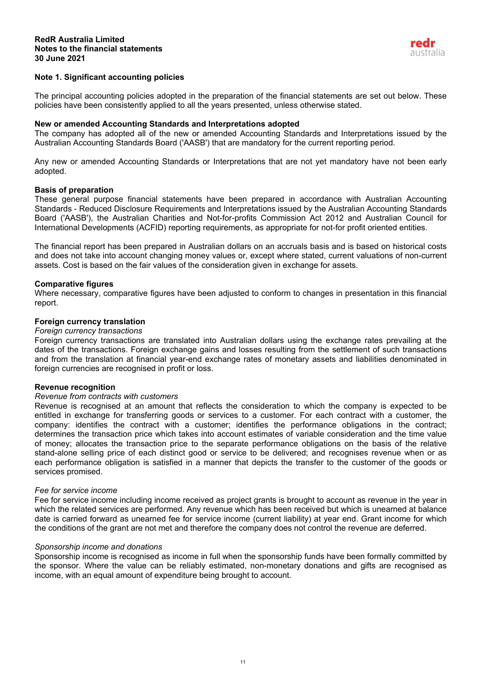

## <span id="page-11-0"></span>**Note 1. Significant accounting policies**

The principal accounting policies adopted in the preparation of the financial statements are set out below. These policies have been consistently applied to all the years presented, unless otherwise stated.

#### **New or amended Accounting Standards and Interpretations adopted**

The company has adopted all of the new or amended Accounting Standards and Interpretations issued by the Australian Accounting Standards Board ('AASB') that are mandatory for the current reporting period.

Any new or amended Accounting Standards or Interpretations that are not yet mandatory have not been early adopted.

#### **Basis of preparation**

These general purpose financial statements have been prepared in accordance with Australian Accounting Standards - Reduced Disclosure Requirements and Interpretations issued by the Australian Accounting Standards Board ('AASB'), the Australian Charities and Not-for-profits Commission Act 2012 and Australian Council for International Developments (ACFID) reporting requirements, as appropriate for not-for profit oriented entities.

The financial report has been prepared in Australian dollars on an accruals basis and is based on historical costs and does not take into account changing money values or, except where stated, current valuations of non-current assets. Cost is based on the fair values of the consideration given in exchange for assets.

#### **Comparative figures**

Where necessary, comparative figures have been adjusted to conform to changes in presentation in this financial report.

#### **Foreign currency translation**

#### *Foreign currency transactions*

Foreign currency transactions are translated into Australian dollars using the exchange rates prevailing at the dates of the transactions. Foreign exchange gains and losses resulting from the settlement of such transactions and from the translation at financial year-end exchange rates of monetary assets and liabilities denominated in foreign currencies are recognised in profit or loss.

## **Revenue recognition**

#### *Revenue from contracts with customers*

Revenue is recognised at an amount that reflects the consideration to which the company is expected to be entitled in exchange for transferring goods or services to a customer. For each contract with a customer, the company: identifies the contract with a customer; identifies the performance obligations in the contract; determines the transaction price which takes into account estimates of variable consideration and the time value of money; allocates the transaction price to the separate performance obligations on the basis of the relative stand-alone selling price of each distinct good or service to be delivered; and recognises revenue when or as each performance obligation is satisfied in a manner that depicts the transfer to the customer of the goods or services promised.

#### *Fee for service income*

Fee for service income including income received as project grants is brought to account as revenue in the year in which the related services are performed. Any revenue which has been received but which is unearned at balance date is carried forward as unearned fee for service income (current liability) at year end. Grant income for which the conditions of the grant are not met and therefore the company does not control the revenue are deferred.

#### *Sponsorship income and donations*

Sponsorship income is recognised as income in full when the sponsorship funds have been formally committed by the sponsor. Where the value can be reliably estimated, non-monetary donations and gifts are recognised as income, with an equal amount of expenditure being brought to account.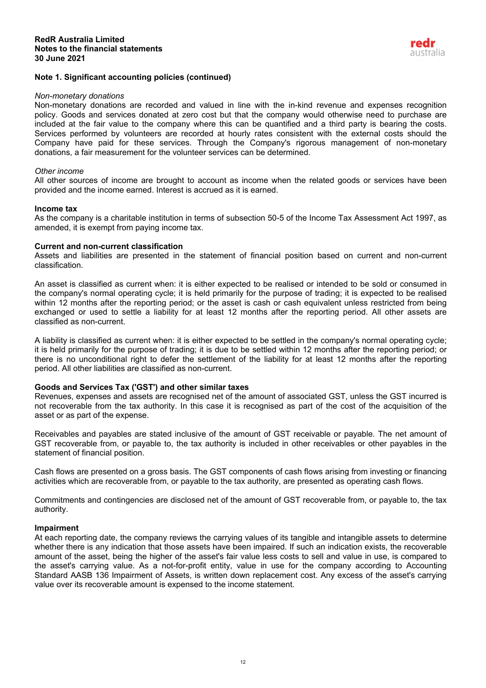

## **Note 1. Significant accounting policies (continued)**

#### *Non-monetary donations*

Non-monetary donations are recorded and valued in line with the in-kind revenue and expenses recognition policy. Goods and services donated at zero cost but that the company would otherwise need to purchase are included at the fair value to the company where this can be quantified and a third party is bearing the costs. Services performed by volunteers are recorded at hourly rates consistent with the external costs should the Company have paid for these services. Through the Company's rigorous management of non-monetary donations, a fair measurement for the volunteer services can be determined.

#### *Other income*

All other sources of income are brought to account as income when the related goods or services have been provided and the income earned. Interest is accrued as it is earned.

#### **Income tax**

As the company is a charitable institution in terms of subsection 50-5 of the Income Tax Assessment Act 1997, as amended, it is exempt from paying income tax.

# **Current and non-current classification**

Assets and liabilities are presented in the statement of financial position based on current and non-current classification.

An asset is classified as current when: it is either expected to be realised or intended to be sold or consumed in the company's normal operating cycle; it is held primarily for the purpose of trading; it is expected to be realised within 12 months after the reporting period; or the asset is cash or cash equivalent unless restricted from being exchanged or used to settle a liability for at least 12 months after the reporting period. All other assets are classified as non-current.

A liability is classified as current when: it is either expected to be settled in the company's normal operating cycle; it is held primarily for the purpose of trading; it is due to be settled within 12 months after the reporting period; or there is no unconditional right to defer the settlement of the liability for at least 12 months after the reporting period. All other liabilities are classified as non-current.

## **Goods and Services Tax ('GST') and other similar taxes**

Revenues, expenses and assets are recognised net of the amount of associated GST, unless the GST incurred is not recoverable from the tax authority. In this case it is recognised as part of the cost of the acquisition of the asset or as part of the expense.

Receivables and payables are stated inclusive of the amount of GST receivable or payable. The net amount of GST recoverable from, or payable to, the tax authority is included in other receivables or other payables in the statement of financial position.

Cash flows are presented on a gross basis. The GST components of cash flows arising from investing or financing activities which are recoverable from, or payable to the tax authority, are presented as operating cash flows.

Commitments and contingencies are disclosed net of the amount of GST recoverable from, or payable to, the tax authority.

#### **Impairment**

At each reporting date, the company reviews the carrying values of its tangible and intangible assets to determine whether there is any indication that those assets have been impaired. If such an indication exists, the recoverable amount of the asset, being the higher of the asset's fair value less costs to sell and value in use, is compared to the asset's carrying value. As a not-for-profit entity, value in use for the company according to Accounting Standard AASB 136 Impairment of Assets, is written down replacement cost. Any excess of the asset's carrying value over its recoverable amount is expensed to the income statement.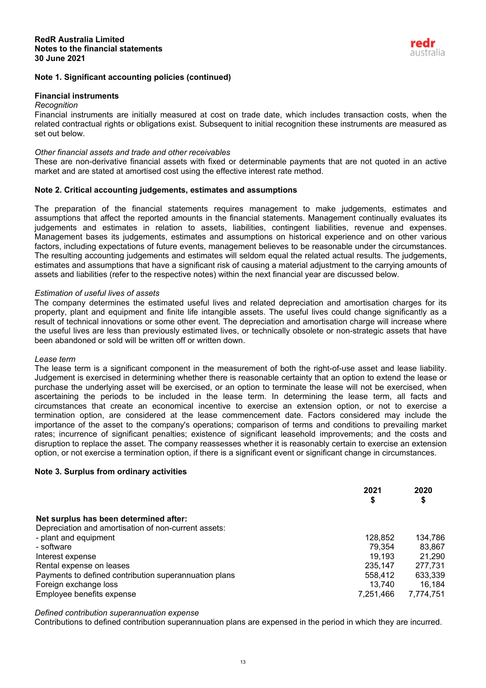# **Note 1. Significant accounting policies (continued)**

## **Financial instruments**

#### *Recognition*

Financial instruments are initially measured at cost on trade date, which includes transaction costs, when the related contractual rights or obligations exist. Subsequent to initial recognition these instruments are measured as set out below.

## *Other financial assets and trade and other receivables*

These are non-derivative financial assets with fixed or determinable payments that are not quoted in an active market and are stated at amortised cost using the effective interest rate method.

## **Note 2. Critical accounting judgements, estimates and assumptions**

The preparation of the financial statements requires management to make judgements, estimates and assumptions that affect the reported amounts in the financial statements. Management continually evaluates its judgements and estimates in relation to assets, liabilities, contingent liabilities, revenue and expenses. Management bases its judgements, estimates and assumptions on historical experience and on other various factors, including expectations of future events, management believes to be reasonable under the circumstances. The resulting accounting judgements and estimates will seldom equal the related actual results. The judgements, estimates and assumptions that have a significant risk of causing a material adjustment to the carrying amounts of assets and liabilities (refer to the respective notes) within the next financial year are discussed below.

#### *Estimation of useful lives of assets*

The company determines the estimated useful lives and related depreciation and amortisation charges for its property, plant and equipment and finite life intangible assets. The useful lives could change significantly as a result of technical innovations or some other event. The depreciation and amortisation charge will increase where the useful lives are less than previously estimated lives, or technically obsolete or non-strategic assets that have been abandoned or sold will be written off or written down.

#### *Lease term*

The lease term is a significant component in the measurement of both the right-of-use asset and lease liability. Judgement is exercised in determining whether there is reasonable certainty that an option to extend the lease or purchase the underlying asset will be exercised, or an option to terminate the lease will not be exercised, when ascertaining the periods to be included in the lease term. In determining the lease term, all facts and circumstances that create an economical incentive to exercise an extension option, or not to exercise a termination option, are considered at the lease commencement date. Factors considered may include the importance of the asset to the company's operations; comparison of terms and conditions to prevailing market rates; incurrence of significant penalties; existence of significant leasehold improvements; and the costs and disruption to replace the asset. The company reassesses whether it is reasonably certain to exercise an extension option, or not exercise a termination option, if there is a significant event or significant change in circumstances.

## **Note 3. Surplus from ordinary activities**

|                                                       | 2021      | 2020      |
|-------------------------------------------------------|-----------|-----------|
|                                                       | \$        | \$        |
| Net surplus has been determined after:                |           |           |
| Depreciation and amortisation of non-current assets:  |           |           |
| - plant and equipment                                 | 128,852   | 134,786   |
| - software                                            | 79.354    | 83,867    |
| Interest expense                                      | 19,193    | 21.290    |
| Rental expense on leases                              | 235,147   | 277,731   |
| Payments to defined contribution superannuation plans | 558,412   | 633,339   |
| Foreign exchange loss                                 | 13,740    | 16,184    |
| Employee benefits expense                             | 7,251,466 | 7,774,751 |

*Defined contribution superannuation expense*

Contributions to defined contribution superannuation plans are expensed in the period in which they are incurred.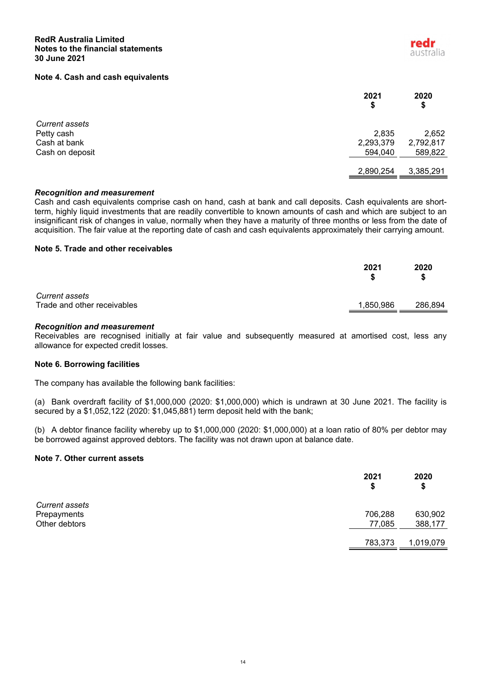#### **Note 4. Cash and cash equivalents**

|                       | 2021<br>\$ | 2020<br>\$ |
|-----------------------|------------|------------|
| <b>Current assets</b> |            |            |
| Petty cash            | 2,835      | 2,652      |
| Cash at bank          | 2,293,379  | 2,792,817  |
| Cash on deposit       | 594,040    | 589,822    |
|                       | 2,890,254  | 3,385,291  |

#### *Recognition and measurement*

Cash and cash equivalents comprise cash on hand, cash at bank and call deposits. Cash equivalents are shortterm, highly liquid investments that are readily convertible to known amounts of cash and which are subject to an insignificant risk of changes in value, normally when they have a maturity of three months or less from the date of acquisition. The fair value at the reporting date of cash and cash equivalents approximately their carrying amount.

## **Note 5. Trade and other receivables**

|                                                      | 2021      | 2020<br>S |
|------------------------------------------------------|-----------|-----------|
| <b>Current assets</b><br>Trade and other receivables | 1,850,986 | 286,894   |

## *Recognition and measurement*

Receivables are recognised initially at fair value and subsequently measured at amortised cost, less any allowance for expected credit losses.

## **Note 6. Borrowing facilities**

The company has available the following bank facilities:

(a) Bank overdraft facility of \$1,000,000 (2020: \$1,000,000) which is undrawn at 30 June 2021. The facility is secured by a \$1,052,122 (2020: \$1,045,881) term deposit held with the bank;

(b) A debtor finance facility whereby up to \$1,000,000 (2020: \$1,000,000) at a loan ratio of 80% per debtor may be borrowed against approved debtors. The facility was not drawn upon at balance date.

#### **Note 7. Other current assets**

|                | 2021<br>\$ | 2020<br>\$ |
|----------------|------------|------------|
| Current assets |            |            |
| Prepayments    | 706,288    | 630,902    |
| Other debtors  | 77,085     | 388,177    |
|                | 783,373    | 1,019,079  |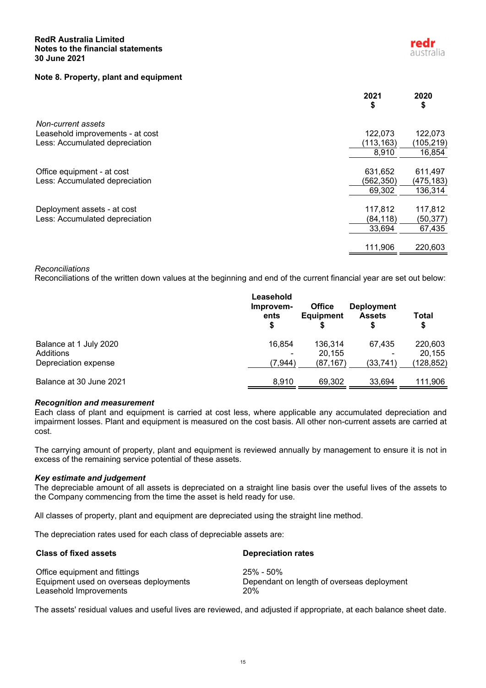## **RedR Australia Limited Notes to the financial statements 30 June 2021**

# **Note 8. Property, plant and equipment**

|                                  | 2021<br>\$ | 2020<br>\$ |
|----------------------------------|------------|------------|
| Non-current assets               |            |            |
| Leasehold improvements - at cost | 122,073    | 122,073    |
| Less: Accumulated depreciation   | (113, 163) | (105, 219) |
|                                  | 8,910      | 16,854     |
|                                  |            |            |
| Office equipment - at cost       | 631,652    | 611,497    |
| Less: Accumulated depreciation   | (562, 350) | (475,183)  |
|                                  | 69,302     | 136,314    |
|                                  |            |            |
| Deployment assets - at cost      | 117,812    | 117,812    |
| Less: Accumulated depreciation   | (84, 118)  | (50,377)   |
|                                  | 33,694     | 67,435     |
|                                  |            |            |
|                                  | 111,906    | 220,603    |

#### *Reconciliations*

Reconciliations of the written down values at the beginning and end of the current financial year are set out below:

|                                   | Leasehold<br>Improvem-<br>ents<br>\$ | <b>Office</b><br><b>Equipment</b> | <b>Deployment</b><br><b>Assets</b> | Total<br>\$         |
|-----------------------------------|--------------------------------------|-----------------------------------|------------------------------------|---------------------|
| Balance at 1 July 2020            | 16,854                               | 136.314                           | 67.435                             | 220,603             |
| Additions<br>Depreciation expense | -<br>(7,944)                         | 20.155<br>(87, 167)               | (33, 741)                          | 20,155<br>(128,852) |
| Balance at 30 June 2021           | 8,910                                | 69,302                            | 33,694                             | 111,906             |

## *Recognition and measurement*

Each class of plant and equipment is carried at cost less, where applicable any accumulated depreciation and impairment losses. Plant and equipment is measured on the cost basis. All other non-current assets are carried at cost.

The carrying amount of property, plant and equipment is reviewed annually by management to ensure it is not in excess of the remaining service potential of these assets.

## *Key estimate and judgement*

The depreciable amount of all assets is depreciated on a straight line basis over the useful lives of the assets to the Company commencing from the time the asset is held ready for use.

All classes of property, plant and equipment are depreciated using the straight line method.

The depreciation rates used for each class of depreciable assets are:

| <b>Class of fixed assets</b>           | <b>Depreciation rates</b>                  |
|----------------------------------------|--------------------------------------------|
| Office equipment and fittings          | 25% - 50%                                  |
| Equipment used on overseas deployments | Dependant on length of overseas deployment |
| Leasehold Improvements                 | 20%                                        |

The assets' residual values and useful lives are reviewed, and adjusted if appropriate, at each balance sheet date.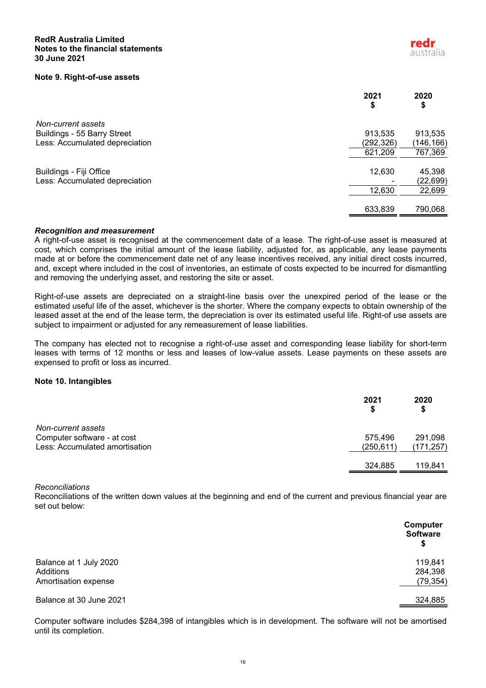## **RedR Australia Limited Notes to the financial statements 30 June 2021**

#### **Note 9. Right-of-use assets**

|                                | 2021<br>\$ | 2020<br>\$ |
|--------------------------------|------------|------------|
| Non-current assets             |            |            |
| Buildings - 55 Barry Street    | 913,535    | 913,535    |
| Less: Accumulated depreciation | (292, 326) | (146,166)  |
|                                | 621,209    | 767,369    |
|                                |            |            |
| Buildings - Fiji Office        | 12,630     | 45,398     |
| Less: Accumulated depreciation |            | (22, 699)  |
|                                | 12,630     | 22,699     |
|                                |            |            |
|                                | 633,839    | 790,068    |

#### *Recognition and measurement*

A right-of-use asset is recognised at the commencement date of a lease. The right-of-use asset is measured at cost, which comprises the initial amount of the lease liability, adjusted for, as applicable, any lease payments made at or before the commencement date net of any lease incentives received, any initial direct costs incurred, and, except where included in the cost of inventories, an estimate of costs expected to be incurred for dismantling and removing the underlying asset, and restoring the site or asset.

Right-of-use assets are depreciated on a straight-line basis over the unexpired period of the lease or the estimated useful life of the asset, whichever is the shorter. Where the company expects to obtain ownership of the leased asset at the end of the lease term, the depreciation is over its estimated useful life. Right-of use assets are subject to impairment or adjusted for any remeasurement of lease liabilities.

The company has elected not to recognise a right-of-use asset and corresponding lease liability for short-term leases with terms of 12 months or less and leases of low-value assets. Lease payments on these assets are expensed to profit or loss as incurred.

# **Note 10. Intangibles**

|                                | 2021       | 2020<br>S  |
|--------------------------------|------------|------------|
| Non-current assets             |            |            |
| Computer software - at cost    | 575,496    | 291,098    |
| Less: Accumulated amortisation | (250, 611) | (171, 257) |
|                                | 324,885    | 119.841    |

*Reconciliations*

Reconciliations of the written down values at the beginning and end of the current and previous financial year are set out below:

|                                                             | Computer<br><b>Software</b><br>\$ |
|-------------------------------------------------------------|-----------------------------------|
| Balance at 1 July 2020<br>Additions<br>Amortisation expense | 119,841<br>284,398<br>(79, 354)   |
| Balance at 30 June 2021                                     | 324,885                           |

Computer software includes \$284,398 of intangibles which is in development. The software will not be amortised until its completion.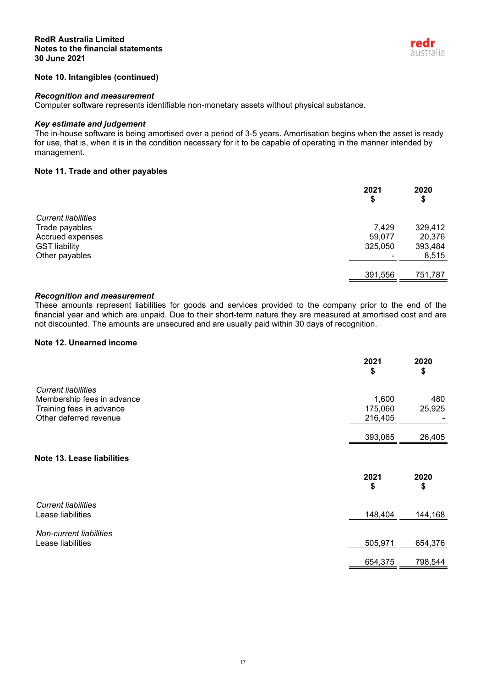

# **Note 10. Intangibles (continued)**

## *Recognition and measurement*

Computer software represents identifiable non-monetary assets without physical substance.

# *Key estimate and judgement*

The in-house software is being amortised over a period of 3-5 years. Amortisation begins when the asset is ready for use, that is, when it is in the condition necessary for it to be capable of operating in the manner intended by management.

# **Note 11. Trade and other payables**

|                            | 2021<br>\$ | 2020<br>\$ |
|----------------------------|------------|------------|
| <b>Current liabilities</b> |            |            |
| Trade payables             | 7,429      | 329,412    |
| Accrued expenses           | 59,077     | 20,376     |
| <b>GST liability</b>       | 325,050    | 393,484    |
| Other payables             |            | 8,515      |
|                            | 391,556    | 751,787    |

## *Recognition and measurement*

These amounts represent liabilities for goods and services provided to the company prior to the end of the financial year and which are unpaid. Due to their short-term nature they are measured at amortised cost and are not discounted. The amounts are unsecured and are usually paid within 30 days of recognition.

## **Note 12. Unearned income**

|                                | 2021<br>\$ | 2020<br>\$ |
|--------------------------------|------------|------------|
| <b>Current liabilities</b>     |            |            |
| Membership fees in advance     | 1,600      | 480        |
| Training fees in advance       | 175,060    | 25,925     |
| Other deferred revenue         | 216,405    |            |
|                                | 393,065    | 26,405     |
| Note 13. Lease liabilities     |            |            |
|                                | 2021<br>\$ | 2020<br>\$ |
| <b>Current liabilities</b>     |            |            |
| Lease liabilities              | 148,404    | 144,168    |
| <b>Non-current liabilities</b> |            |            |
| Lease liabilities              | 505,971    | 654,376    |
|                                | 654,375    | 798,544    |
|                                |            |            |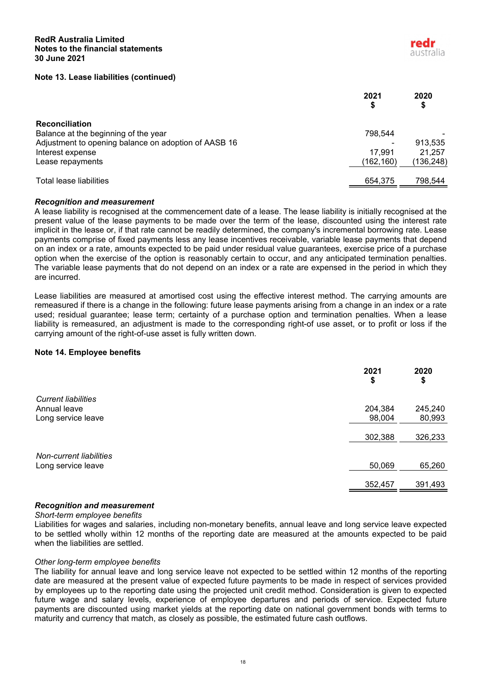## **Note 13. Lease liabilities (continued)**

|                                                      | 2021      | 2020<br>S |
|------------------------------------------------------|-----------|-----------|
| <b>Reconciliation</b>                                |           |           |
| Balance at the beginning of the year                 | 798.544   |           |
| Adjustment to opening balance on adoption of AASB 16 |           | 913.535   |
| Interest expense                                     | 17.991    | 21.257    |
| Lease repayments                                     | (162,160) | (136,248) |
| Total lease liabilities                              | 654,375   | 798,544   |

## *Recognition and measurement*

A lease liability is recognised at the commencement date of a lease. The lease liability is initially recognised at the present value of the lease payments to be made over the term of the lease, discounted using the interest rate implicit in the lease or, if that rate cannot be readily determined, the company's incremental borrowing rate. Lease payments comprise of fixed payments less any lease incentives receivable, variable lease payments that depend on an index or a rate, amounts expected to be paid under residual value guarantees, exercise price of a purchase option when the exercise of the option is reasonably certain to occur, and any anticipated termination penalties. The variable lease payments that do not depend on an index or a rate are expensed in the period in which they are incurred.

Lease liabilities are measured at amortised cost using the effective interest method. The carrying amounts are remeasured if there is a change in the following: future lease payments arising from a change in an index or a rate used; residual guarantee; lease term; certainty of a purchase option and termination penalties. When a lease liability is remeasured, an adjustment is made to the corresponding right-of use asset, or to profit or loss if the carrying amount of the right-of-use asset is fully written down.

#### **Note 14. Employee benefits**

|                            | 2021<br>\$ | 2020<br>\$ |
|----------------------------|------------|------------|
| <b>Current liabilities</b> |            |            |
| Annual leave               | 204,384    | 245,240    |
| Long service leave         | 98,004     | 80,993     |
|                            |            |            |
|                            | 302,388    | 326,233    |
|                            |            |            |
| Non-current liabilities    |            |            |
| Long service leave         | 50,069     | 65,260     |
|                            |            |            |
|                            | 352,457    | 391,493    |
|                            |            |            |

## *Recognition and measurement*

#### *Short-term employee benefits*

Liabilities for wages and salaries, including non-monetary benefits, annual leave and long service leave expected to be settled wholly within 12 months of the reporting date are measured at the amounts expected to be paid when the liabilities are settled.

#### *Other long-term employee benefits*

The liability for annual leave and long service leave not expected to be settled within 12 months of the reporting date are measured at the present value of expected future payments to be made in respect of services provided by employees up to the reporting date using the projected unit credit method. Consideration is given to expected future wage and salary levels, experience of employee departures and periods of service. Expected future payments are discounted using market yields at the reporting date on national government bonds with terms to maturity and currency that match, as closely as possible, the estimated future cash outflows.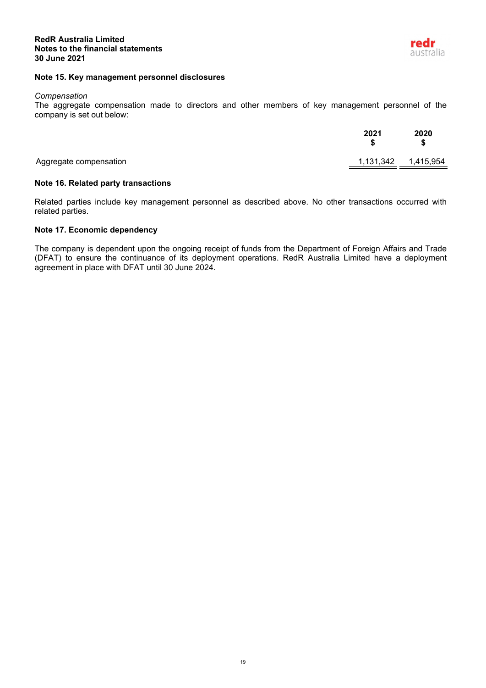## **Note 15. Key management personnel disclosures**

#### *Compensation*

The aggregate compensation made to directors and other members of key management personnel of the company is set out below:

|                        | 2021 | 2020<br>\$          |
|------------------------|------|---------------------|
| Aggregate compensation |      | 1,131,342 1,415,954 |

## **Note 16. Related party transactions**

Related parties include key management personnel as described above. No other transactions occurred with related parties.

# **Note 17. Economic dependency**

The company is dependent upon the ongoing receipt of funds from the Department of Foreign Affairs and Trade (DFAT) to ensure the continuance of its deployment operations. RedR Australia Limited have a deployment agreement in place with DFAT until 30 June 2024.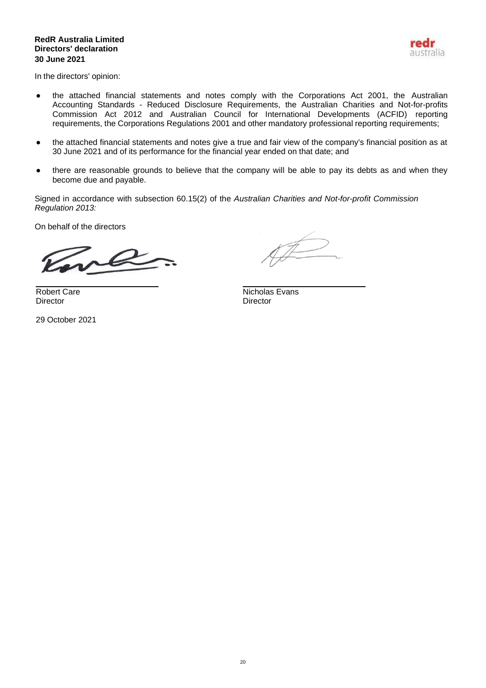# **RedR Australia Limited Directors' declaration 30 June 2021**



In the directors' opinion:

- the attached financial statements and notes comply with the Corporations Act 2001, the Australian Accounting Standards - Reduced Disclosure Requirements, the Australian Charities and Not-for-profits Commission Act 2012 and Australian Council for International Developments (ACFID) reporting requirements, the Corporations Regulations 2001 and other mandatory professional reporting requirements;
- the attached financial statements and notes give a true and fair view of the company's financial position as at 30 June 2021 and of its performance for the financial year ended on that date; and
- there are reasonable grounds to believe that the company will be able to pay its debts as and when they become due and payable.

Signed in accordance with subsection 60.15(2) of the *Australian Charities and Not-for-profit Commission Regulation 2013:*

On behalf of the directors

Director Director

29 October 2021

Robert Care Nicholas Evans<br>
Director Director<br>
Director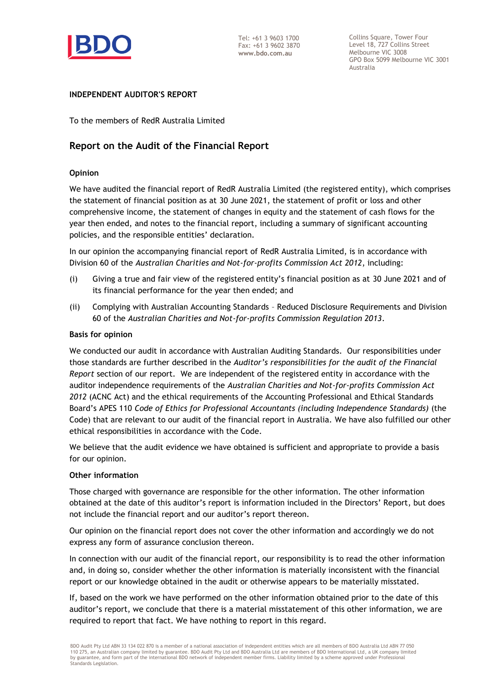

Collins Square, Tower Four Level 18, 727 Collins Street Melbourne VIC 3008 GPO Box 5099 Melbourne VIC 3001 Australia

# **INDEPENDENT AUDITOR'S REPORT**

To the members of RedR Australia Limited

# **Report on the Audit of the Financial Report**

# **Opinion**

We have audited the financial report of RedR Australia Limited (the registered entity), which comprises the statement of financial position as at 30 June 2021, the statement of profit or loss and other comprehensive income, the statement of changes in equity and the statement of cash flows for the year then ended, and notes to the financial report, including a summary of significant accounting policies, and the responsible entities' declaration.

In our opinion the accompanying financial report of RedR Australia Limited, is in accordance with Division 60 of the *Australian Charities and Not-for-profits Commission Act 2012*, including:

- (i) Giving a true and fair view of the registered entity's financial position as at 30 June 2021 and of its financial performance for the year then ended; and
- (ii) Complying with Australian Accounting Standards Reduced Disclosure Requirements and Division 60 of the *Australian Charities and Not-for-profits Commission Regulation 2013*.

# **Basis for opinion**

We conducted our audit in accordance with Australian Auditing Standards. Our responsibilities under those standards are further described in the *Auditor's responsibilities for the audit of the Financial Report* section of our report. We are independent of the registered entity in accordance with the auditor independence requirements of the *Australian Charities and Not-for-profits Commission Act 2012* (ACNC Act) and the ethical requirements of the Accounting Professional and Ethical Standards Board's APES 110 *Code of Ethics for Professional Accountants (including Independence Standards)* (the Code) that are relevant to our audit of the financial report in Australia. We have also fulfilled our other ethical responsibilities in accordance with the Code.

We believe that the audit evidence we have obtained is sufficient and appropriate to provide a basis for our opinion.

# **Other information**

Those charged with governance are responsible for the other information. The other information obtained at the date of this auditor's report is information included in the Directors' Report, but does not include the financial report and our auditor's report thereon.

Our opinion on the financial report does not cover the other information and accordingly we do not express any form of assurance conclusion thereon.

In connection with our audit of the financial report, our responsibility is to read the other information and, in doing so, consider whether the other information is materially inconsistent with the financial report or our knowledge obtained in the audit or otherwise appears to be materially misstated.

If, based on the work we have performed on the other information obtained prior to the date of this auditor's report, we conclude that there is a material misstatement of this other information, we are required to report that fact. We have nothing to report in this regard.